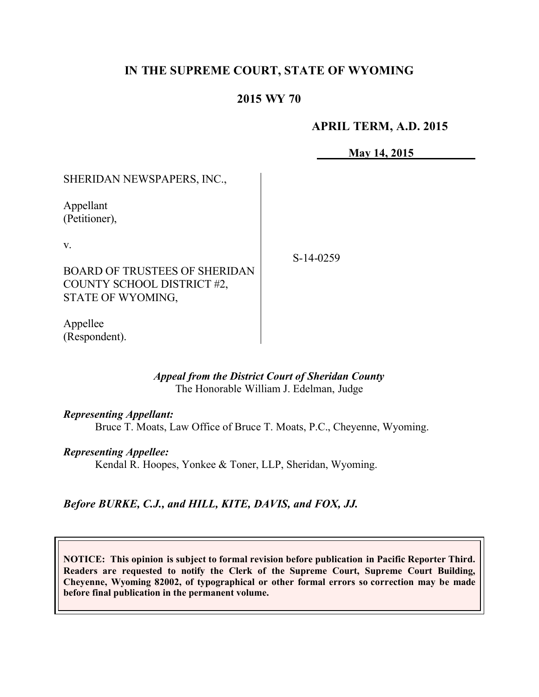# **IN THE SUPREME COURT, STATE OF WYOMING**

## **2015 WY 70**

### **APRIL TERM, A.D. 2015**

**May 14, 2015**

SHERIDAN NEWSPAPERS, INC.,

Appellant (Petitioner),

v.

BOARD OF TRUSTEES OF SHERIDAN COUNTY SCHOOL DISTRICT #2, STATE OF WYOMING,

Appellee (Respondent). S-14-0259

### *Appeal from the District Court of Sheridan County* The Honorable William J. Edelman, Judge

### *Representing Appellant:*

Bruce T. Moats, Law Office of Bruce T. Moats, P.C., Cheyenne, Wyoming.

### *Representing Appellee:*

Kendal R. Hoopes, Yonkee & Toner, LLP, Sheridan, Wyoming.

# *Before BURKE, C.J., and HILL, KITE, DAVIS, and FOX, JJ.*

**NOTICE: This opinion is subject to formal revision before publication in Pacific Reporter Third. Readers are requested to notify the Clerk of the Supreme Court, Supreme Court Building, Cheyenne, Wyoming 82002, of typographical or other formal errors so correction may be made before final publication in the permanent volume.**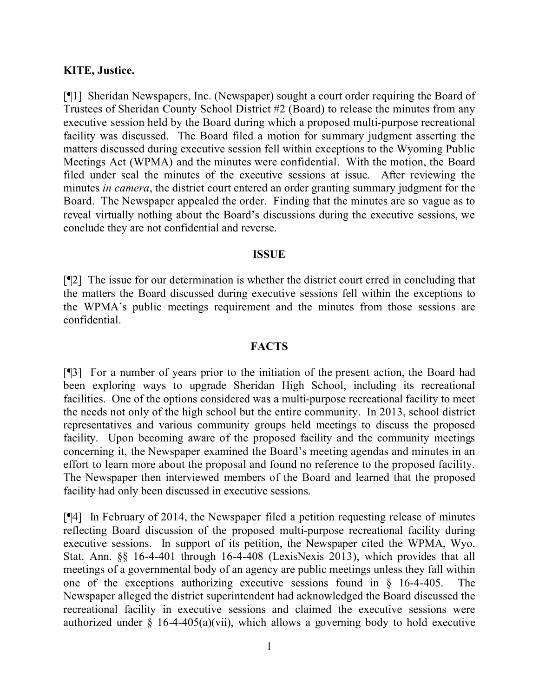### **KITE, Justice.**

[¶1] Sheridan Newspapers, Inc. (Newspaper) sought a court order requiring the Board of Trustees of Sheridan County School District #2 (Board) to release the minutes from any executive session held by the Board during which a proposed multi-purpose recreational facility was discussed. The Board filed a motion for summary judgment asserting the matters discussed during executive session fell within exceptions to the Wyoming Public Meetings Act (WPMA) and the minutes were confidential. With the motion, the Board filed under seal the minutes of the executive sessions at issue. After reviewing the minutes *in camera*, the district court entered an order granting summary judgment for the Board. The Newspaper appealed the order. Finding that the minutes are so vague as to reveal virtually nothing about the Board's discussions during the executive sessions, we conclude they are not confidential and reverse.

### **ISSUE**

[¶2] The issue for our determination is whether the district court erred in concluding that the matters the Board discussed during executive sessions fell within the exceptions to the WPMA's public meetings requirement and the minutes from those sessions are confidential.

### **FACTS**

[¶3] For a number of years prior to the initiation of the present action, the Board had been exploring ways to upgrade Sheridan High School, including its recreational facilities. One of the options considered was a multi-purpose recreational facility to meet the needs not only of the high school but the entire community. In 2013, school district representatives and various community groups held meetings to discuss the proposed facility. Upon becoming aware of the proposed facility and the community meetings concerning it, the Newspaper examined the Board's meeting agendas and minutes in an effort to learn more about the proposal and found no reference to the proposed facility. The Newspaper then interviewed members of the Board and learned that the proposed facility had only been discussed in executive sessions.

[¶4] In February of 2014, the Newspaper filed a petition requesting release of minutes reflecting Board discussion of the proposed multi-purpose recreational facility during executive sessions. In support of its petition, the Newspaper cited the WPMA, Wyo. Stat. Ann. §§ 16-4-401 through 16-4-408 (LexisNexis 2013), which provides that all meetings of a governmental body of an agency are public meetings unless they fall within one of the exceptions authorizing executive sessions found in § 16-4-405. The Newspaper alleged the district superintendent had acknowledged the Board discussed the recreational facility in executive sessions and claimed the executive sessions were authorized under  $\S$  16-4-405(a)(vii), which allows a governing body to hold executive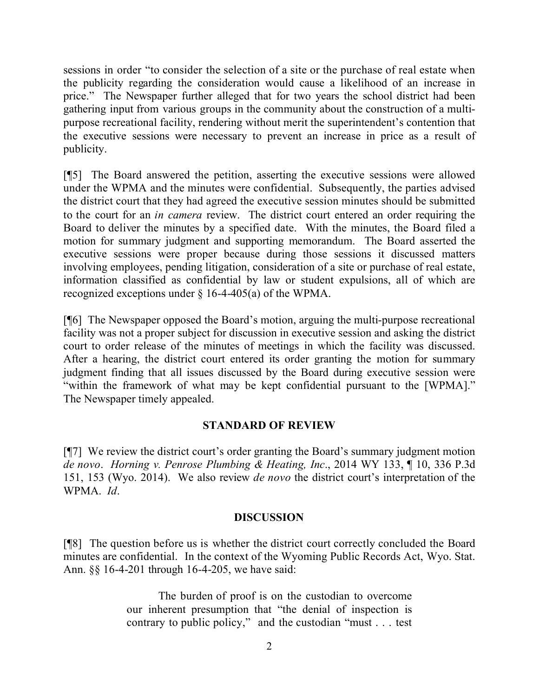sessions in order "to consider the selection of a site or the purchase of real estate when the publicity regarding the consideration would cause a likelihood of an increase in price." The Newspaper further alleged that for two years the school district had been gathering input from various groups in the community about the construction of a multipurpose recreational facility, rendering without merit the superintendent's contention that the executive sessions were necessary to prevent an increase in price as a result of publicity.

[¶5] The Board answered the petition, asserting the executive sessions were allowed under the WPMA and the minutes were confidential. Subsequently, the parties advised the district court that they had agreed the executive session minutes should be submitted to the court for an *in camera* review. The district court entered an order requiring the Board to deliver the minutes by a specified date. With the minutes, the Board filed a motion for summary judgment and supporting memorandum. The Board asserted the executive sessions were proper because during those sessions it discussed matters involving employees, pending litigation, consideration of a site or purchase of real estate, information classified as confidential by law or student expulsions, all of which are recognized exceptions under § 16-4-405(a) of the WPMA.

[¶6] The Newspaper opposed the Board's motion, arguing the multi-purpose recreational facility was not a proper subject for discussion in executive session and asking the district court to order release of the minutes of meetings in which the facility was discussed. After a hearing, the district court entered its order granting the motion for summary judgment finding that all issues discussed by the Board during executive session were "within the framework of what may be kept confidential pursuant to the [WPMA]." The Newspaper timely appealed.

## **STANDARD OF REVIEW**

[¶7] We review the district court's order granting the Board's summary judgment motion *de novo*. *Horning v. Penrose Plumbing & Heating, Inc*., 2014 WY 133, ¶ 10, 336 P.3d 151, 153 (Wyo. 2014). We also review *de novo* the district court's interpretation of the WPMA. *Id*.

### **DISCUSSION**

[¶8] The question before us is whether the district court correctly concluded the Board minutes are confidential. In the context of the Wyoming Public Records Act, Wyo. Stat. Ann. §§ 16-4-201 through 16-4-205, we have said:

> The burden of proof is on the custodian to overcome our inherent presumption that "the denial of inspection is contrary to public policy," and the custodian "must . . . test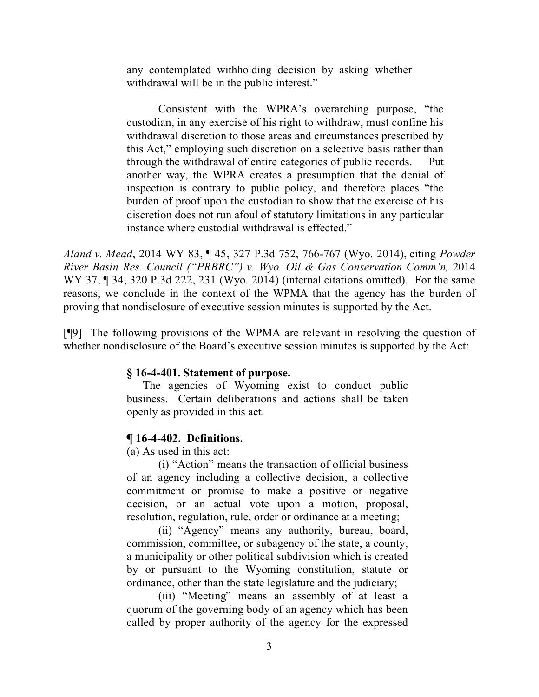any contemplated withholding decision by asking whether withdrawal will be in the public interest."

Consistent with the WPRA's overarching purpose, "the custodian, in any exercise of his right to withdraw, must confine his withdrawal discretion to those areas and circumstances prescribed by this Act," employing such discretion on a selective basis rather than through the withdrawal of entire categories of public records. Put another way, the WPRA creates a presumption that the denial of inspection is contrary to public policy, and therefore places "the burden of proof upon the custodian to show that the exercise of his discretion does not run afoul of statutory limitations in any particular instance where custodial withdrawal is effected."

*Aland v. Mead*, 2014 WY 83, ¶ 45, 327 P.3d 752, 766-767 (Wyo. 2014), citing *Powder River Basin Res. Council ("PRBRC") v. Wyo. Oil & Gas Conservation Comm'n,* 2014 WY 37, ¶ 34, 320 P.3d 222, 231 (Wyo. 2014) (internal citations omitted). For the same reasons, we conclude in the context of the WPMA that the agency has the burden of proving that nondisclosure of executive session minutes is supported by the Act.

[¶9] The following provisions of the WPMA are relevant in resolving the question of whether nondisclosure of the Board's executive session minutes is supported by the Act:

### **§ 16-4-401. Statement of purpose.**

The agencies of Wyoming exist to conduct public business. Certain deliberations and actions shall be taken openly as provided in this act.

### **¶ 16-4-402. Definitions.**

(a) As used in this act:

(i) "Action" means the transaction of official business of an agency including a collective decision, a collective commitment or promise to make a positive or negative decision, or an actual vote upon a motion, proposal, resolution, regulation, rule, order or ordinance at a meeting;

(ii) "Agency" means any authority, bureau, board, commission, committee, or subagency of the state, a county, a municipality or other political subdivision which is created by or pursuant to the Wyoming constitution, statute or ordinance, other than the state legislature and the judiciary;

(iii) "Meeting" means an assembly of at least a quorum of the governing body of an agency which has been called by proper authority of the agency for the expressed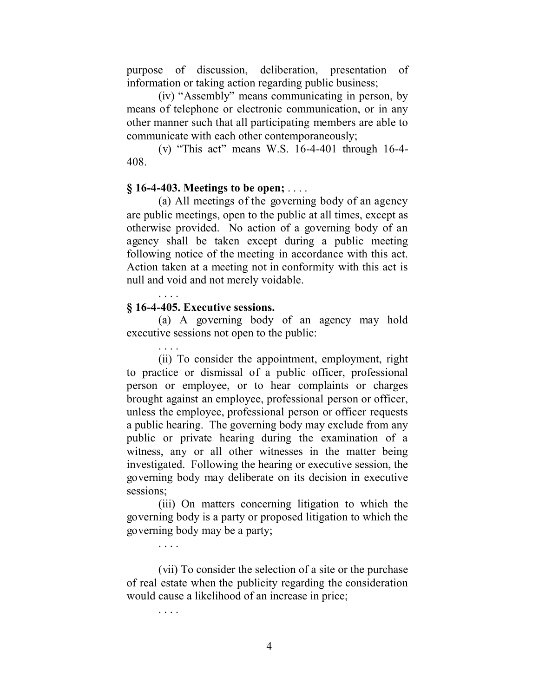purpose of discussion, deliberation, presentation of information or taking action regarding public business;

(iv) "Assembly" means communicating in person, by means of telephone or electronic communication, or in any other manner such that all participating members are able to communicate with each other contemporaneously;

(v) "This act" means W.S. 16-4-401 through 16-4- 408.

#### **§ 16-4-403. Meetings to be open;** . . . .

(a) All meetings of the governing body of an agency are public meetings, open to the public at all times, except as otherwise provided. No action of a governing body of an agency shall be taken except during a public meeting following notice of the meeting in accordance with this act. Action taken at a meeting not in conformity with this act is null and void and not merely voidable.

#### **§ 16-4-405. Executive sessions.**

. . . .

(a) A governing body of an agency may hold executive sessions not open to the public:

. . . . (ii) To consider the appointment, employment, right to practice or dismissal of a public officer, professional person or employee, or to hear complaints or charges brought against an employee, professional person or officer, unless the employee, professional person or officer requests a public hearing. The governing body may exclude from any public or private hearing during the examination of a witness, any or all other witnesses in the matter being investigated. Following the hearing or executive session, the governing body may deliberate on its decision in executive sessions;

(iii) On matters concerning litigation to which the governing body is a party or proposed litigation to which the governing body may be a party;

(vii) To consider the selection of a site or the purchase of real estate when the publicity regarding the consideration would cause a likelihood of an increase in price;

. . . .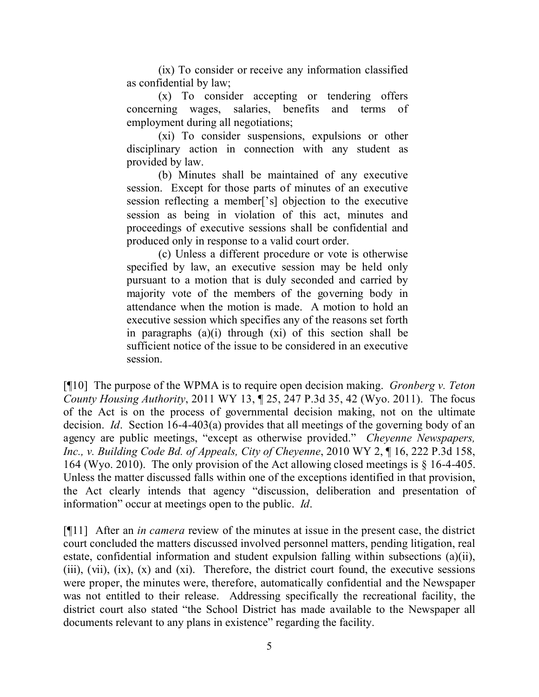(ix) To consider or receive any information classified as confidential by law;

(x) To consider accepting or tendering offers concerning wages, salaries, benefits and terms of employment during all negotiations;

(xi) To consider suspensions, expulsions or other disciplinary action in connection with any student as provided by law.

(b) Minutes shall be maintained of any executive session. Except for those parts of minutes of an executive session reflecting a member['s] objection to the executive session as being in violation of this act, minutes and proceedings of executive sessions shall be confidential and produced only in response to a valid court order.

(c) Unless a different procedure or vote is otherwise specified by law, an executive session may be held only pursuant to a motion that is duly seconded and carried by majority vote of the members of the governing body in attendance when the motion is made. A motion to hold an executive session which specifies any of the reasons set forth in paragraphs  $(a)(i)$  through  $(xi)$  of this section shall be sufficient notice of the issue to be considered in an executive session.

[¶10] The purpose of the WPMA is to require open decision making. *Gronberg v. Teton County Housing Authority*, 2011 WY 13, ¶ 25, 247 P.3d 35, 42 (Wyo. 2011). The focus of the Act is on the process of governmental decision making, not on the ultimate decision. *Id*. Section 16-4-403(a) provides that all meetings of the governing body of an agency are public meetings, "except as otherwise provided." *Cheyenne Newspapers, Inc., v. Building Code Bd. of Appeals, City of Cheyenne*, 2010 WY 2, ¶ 16, 222 P.3d 158, 164 (Wyo. 2010). The only provision of the Act allowing closed meetings is § 16-4-405. Unless the matter discussed falls within one of the exceptions identified in that provision, the Act clearly intends that agency "discussion, deliberation and presentation of information" occur at meetings open to the public. *Id*.

[¶11] After an *in camera* review of the minutes at issue in the present case, the district court concluded the matters discussed involved personnel matters, pending litigation, real estate, confidential information and student expulsion falling within subsections (a)(ii), (iii), (vii),  $(ix)$ ,  $(x)$  and  $(xi)$ . Therefore, the district court found, the executive sessions were proper, the minutes were, therefore, automatically confidential and the Newspaper was not entitled to their release. Addressing specifically the recreational facility, the district court also stated "the School District has made available to the Newspaper all documents relevant to any plans in existence" regarding the facility.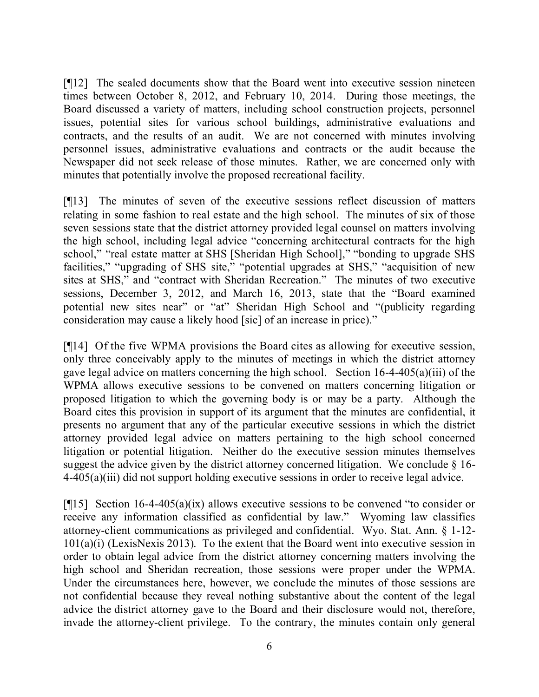[¶12] The sealed documents show that the Board went into executive session nineteen times between October 8, 2012, and February 10, 2014. During those meetings, the Board discussed a variety of matters, including school construction projects, personnel issues, potential sites for various school buildings, administrative evaluations and contracts, and the results of an audit. We are not concerned with minutes involving personnel issues, administrative evaluations and contracts or the audit because the Newspaper did not seek release of those minutes. Rather, we are concerned only with minutes that potentially involve the proposed recreational facility.

[¶13] The minutes of seven of the executive sessions reflect discussion of matters relating in some fashion to real estate and the high school. The minutes of six of those seven sessions state that the district attorney provided legal counsel on matters involving the high school, including legal advice "concerning architectural contracts for the high school," "real estate matter at SHS [Sheridan High School]," "bonding to upgrade SHS facilities," "upgrading of SHS site," "potential upgrades at SHS," "acquisition of new sites at SHS," and "contract with Sheridan Recreation." The minutes of two executive sessions, December 3, 2012, and March 16, 2013, state that the "Board examined potential new sites near" or "at" Sheridan High School and "(publicity regarding consideration may cause a likely hood [sic] of an increase in price)."

[¶14] Of the five WPMA provisions the Board cites as allowing for executive session, only three conceivably apply to the minutes of meetings in which the district attorney gave legal advice on matters concerning the high school. Section 16-4-405(a)(iii) of the WPMA allows executive sessions to be convened on matters concerning litigation or proposed litigation to which the governing body is or may be a party. Although the Board cites this provision in support of its argument that the minutes are confidential, it presents no argument that any of the particular executive sessions in which the district attorney provided legal advice on matters pertaining to the high school concerned litigation or potential litigation. Neither do the executive session minutes themselves suggest the advice given by the district attorney concerned litigation. We conclude  $\S$  16-4-405(a)(iii) did not support holding executive sessions in order to receive legal advice.

[¶15] Section 16-4-405(a)(ix) allows executive sessions to be convened "to consider or receive any information classified as confidential by law." Wyoming law classifies attorney-client communications as privileged and confidential. Wyo. Stat. Ann. § 1-12- 101(a)(i) (LexisNexis 2013). To the extent that the Board went into executive session in order to obtain legal advice from the district attorney concerning matters involving the high school and Sheridan recreation, those sessions were proper under the WPMA. Under the circumstances here, however, we conclude the minutes of those sessions are not confidential because they reveal nothing substantive about the content of the legal advice the district attorney gave to the Board and their disclosure would not, therefore, invade the attorney-client privilege. To the contrary, the minutes contain only general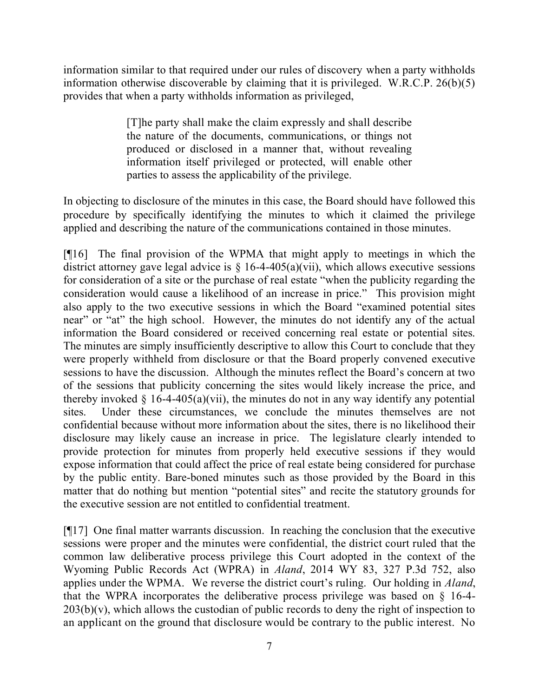information similar to that required under our rules of discovery when a party withholds information otherwise discoverable by claiming that it is privileged. W.R.C.P. 26(b)(5) provides that when a party withholds information as privileged,

> [T]he party shall make the claim expressly and shall describe the nature of the documents, communications, or things not produced or disclosed in a manner that, without revealing information itself privileged or protected, will enable other parties to assess the applicability of the privilege.

In objecting to disclosure of the minutes in this case, the Board should have followed this procedure by specifically identifying the minutes to which it claimed the privilege applied and describing the nature of the communications contained in those minutes.

[¶16] The final provision of the WPMA that might apply to meetings in which the district attorney gave legal advice is  $\S$  16-4-405(a)(vii), which allows executive sessions for consideration of a site or the purchase of real estate "when the publicity regarding the consideration would cause a likelihood of an increase in price." This provision might also apply to the two executive sessions in which the Board "examined potential sites near" or "at" the high school. However, the minutes do not identify any of the actual information the Board considered or received concerning real estate or potential sites. The minutes are simply insufficiently descriptive to allow this Court to conclude that they were properly withheld from disclosure or that the Board properly convened executive sessions to have the discussion. Although the minutes reflect the Board's concern at two of the sessions that publicity concerning the sites would likely increase the price, and thereby invoked  $\S$  16-4-405(a)(vii), the minutes do not in any way identify any potential sites. Under these circumstances, we conclude the minutes themselves are not confidential because without more information about the sites, there is no likelihood their disclosure may likely cause an increase in price. The legislature clearly intended to provide protection for minutes from properly held executive sessions if they would expose information that could affect the price of real estate being considered for purchase by the public entity. Bare-boned minutes such as those provided by the Board in this matter that do nothing but mention "potential sites" and recite the statutory grounds for the executive session are not entitled to confidential treatment.

[¶17] One final matter warrants discussion. In reaching the conclusion that the executive sessions were proper and the minutes were confidential, the district court ruled that the common law deliberative process privilege this Court adopted in the context of the Wyoming Public Records Act (WPRA) in *Aland*, 2014 WY 83, 327 P.3d 752, also applies under the WPMA. We reverse the district court's ruling. Our holding in *Aland*, that the WPRA incorporates the deliberative process privilege was based on § 16-4-  $203(b)(v)$ , which allows the custodian of public records to deny the right of inspection to an applicant on the ground that disclosure would be contrary to the public interest. No